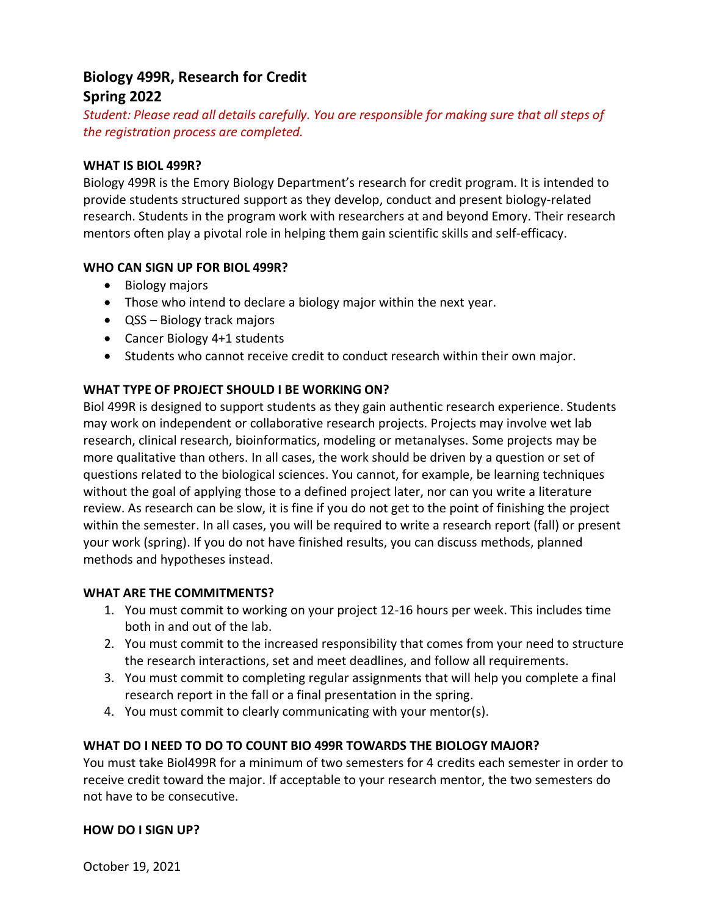# **Biology 499R, Research for Credit Spring 2022**

*Student: Please read all details carefully. You are responsible for making sure that all steps of the registration process are completed.* 

## **WHAT IS BIOL 499R?**

Biology 499R is the Emory Biology Department's research for credit program. It is intended to provide students structured support as they develop, conduct and present biology-related research. Students in the program work with researchers at and beyond Emory. Their research mentors often play a pivotal role in helping them gain scientific skills and self-efficacy.

## **WHO CAN SIGN UP FOR BIOL 499R?**

- Biology majors
- Those who intend to declare a biology major within the next year.
- QSS Biology track majors
- Cancer Biology 4+1 students
- Students who cannot receive credit to conduct research within their own major.

#### **WHAT TYPE OF PROJECT SHOULD I BE WORKING ON?**

Biol 499R is designed to support students as they gain authentic research experience. Students may work on independent or collaborative research projects. Projects may involve wet lab research, clinical research, bioinformatics, modeling or metanalyses. Some projects may be more qualitative than others. In all cases, the work should be driven by a question or set of questions related to the biological sciences. You cannot, for example, be learning techniques without the goal of applying those to a defined project later, nor can you write a literature review. As research can be slow, it is fine if you do not get to the point of finishing the project within the semester. In all cases, you will be required to write a research report (fall) or present your work (spring). If you do not have finished results, you can discuss methods, planned methods and hypotheses instead.

#### **WHAT ARE THE COMMITMENTS?**

- 1. You must commit to working on your project 12-16 hours per week. This includes time both in and out of the lab.
- 2. You must commit to the increased responsibility that comes from your need to structure the research interactions, set and meet deadlines, and follow all requirements.
- 3. You must commit to completing regular assignments that will help you complete a final research report in the fall or a final presentation in the spring.
- 4. You must commit to clearly communicating with your mentor(s).

#### **WHAT DO I NEED TO DO TO COUNT BIO 499R TOWARDS THE BIOLOGY MAJOR?**

You must take Biol499R for a minimum of two semesters for 4 credits each semester in order to receive credit toward the major. If acceptable to your research mentor, the two semesters do not have to be consecutive.

#### **HOW DO I SIGN UP?**

October 19, 2021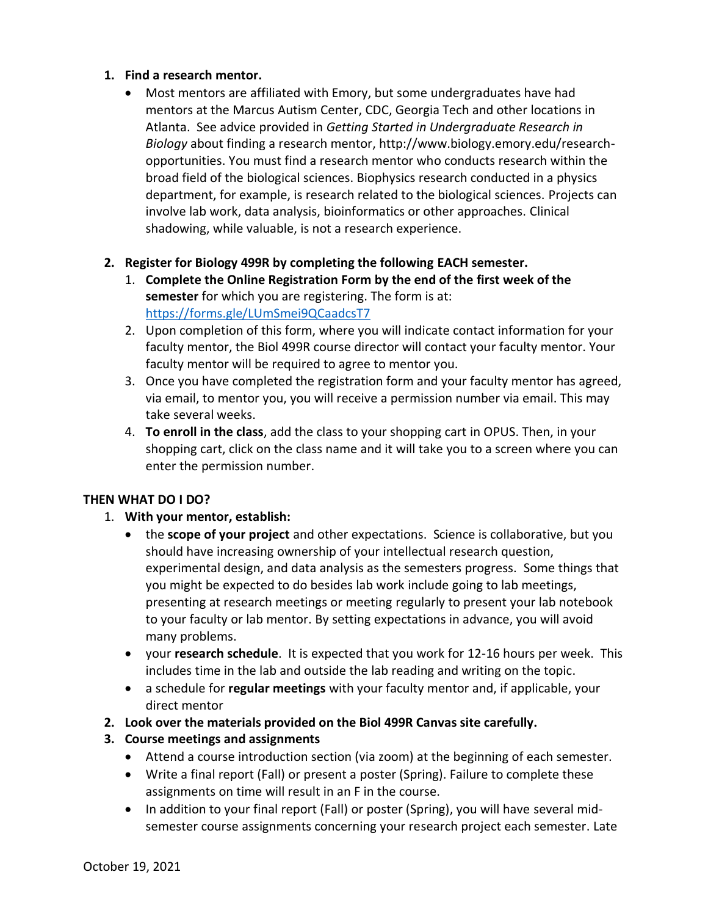# **1. Find a research mentor.**

- Most mentors are affiliated with Emory, but some undergraduates have had mentors at the Marcus Autism Center, CDC, Georgia Tech and other locations in Atlanta. See advice provided in *Getting Started in Undergraduate Research in Biology* about finding a research mentor, http://www.biology.emory.edu/researchopportunities. You must find a research mentor who conducts research within the broad field of the biological sciences. Biophysics research conducted in a physics department, for example, is research related to the biological sciences. Projects can involve lab work, data analysis, bioinformatics or other approaches. Clinical shadowing, while valuable, is not a research experience.
- **2. Register for Biology 499R by completing the following EACH semester.**
	- 1. **Complete the Online Registration Form by the end of the first week of the semester** for which you are registering. The form is at: https://forms.gle/LUmSmei9QCaadcsT7
	- 2. Upon completion of this form, where you will indicate contact information for your faculty mentor, the Biol 499R course director will contact your faculty mentor. Your faculty mentor will be required to agree to mentor you.
	- 3. Once you have completed the registration form and your faculty mentor has agreed, via email, to mentor you, you will receive a permission number via email. This may take several weeks.
	- 4. **To enroll in the class**, add the class to your shopping cart in OPUS. Then, in your shopping cart, click on the class name and it will take you to a screen where you can enter the permission number.

# **THEN WHAT DO I DO?**

- 1. **With your mentor, establish:**
	- the **scope of your project** and other expectations. Science is collaborative, but you should have increasing ownership of your intellectual research question, experimental design, and data analysis as the semesters progress. Some things that you might be expected to do besides lab work include going to lab meetings, presenting at research meetings or meeting regularly to present your lab notebook to your faculty or lab mentor. By setting expectations in advance, you will avoid many problems.
	- your **research schedule**. It is expected that you work for 12-16 hours per week. This includes time in the lab and outside the lab reading and writing on the topic.
	- a schedule for **regular meetings** with your faculty mentor and, if applicable, your direct mentor
- **2. Look over the materials provided on the Biol 499R Canvas site carefully.**
- **3. Course meetings and assignments**
	- Attend a course introduction section (via zoom) at the beginning of each semester.
	- Write a final report (Fall) or present a poster (Spring). Failure to complete these assignments on time will result in an F in the course.
	- In addition to your final report (Fall) or poster (Spring), you will have several midsemester course assignments concerning your research project each semester. Late